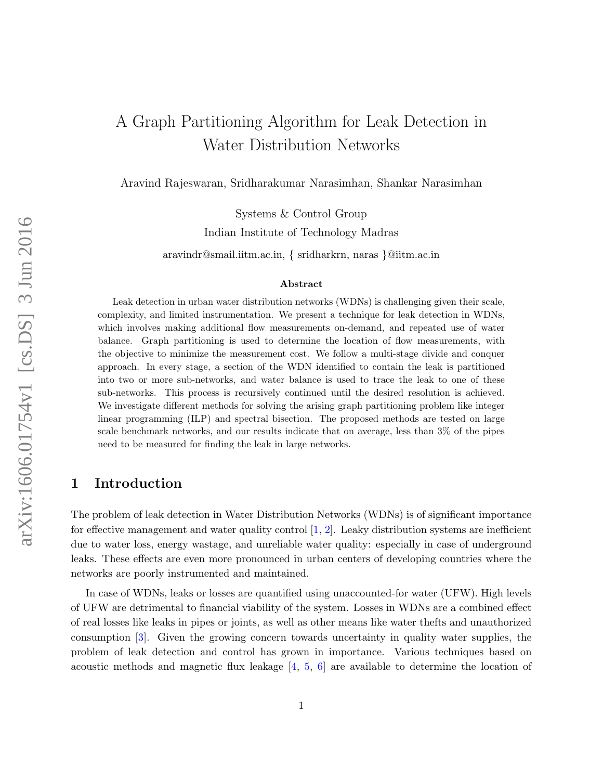# A Graph Partitioning Algorithm for Leak Detection in Water Distribution Networks

Aravind Rajeswaran, Sridharakumar Narasimhan, Shankar Narasimhan

Systems & Control Group Indian Institute of Technology Madras aravindr@smail.iitm.ac.in, { sridharkrn, naras }@iitm.ac.in

#### Abstract

Leak detection in urban water distribution networks (WDNs) is challenging given their scale, complexity, and limited instrumentation. We present a technique for leak detection in WDNs, which involves making additional flow measurements on-demand, and repeated use of water balance. Graph partitioning is used to determine the location of flow measurements, with the objective to minimize the measurement cost. We follow a multi-stage divide and conquer approach. In every stage, a section of the WDN identified to contain the leak is partitioned into two or more sub-networks, and water balance is used to trace the leak to one of these sub-networks. This process is recursively continued until the desired resolution is achieved. We investigate different methods for solving the arising graph partitioning problem like integer linear programming (ILP) and spectral bisection. The proposed methods are tested on large scale benchmark networks, and our results indicate that on average, less than 3% of the pipes need to be measured for finding the leak in large networks.

# 1 Introduction

The problem of leak detection in Water Distribution Networks (WDNs) is of significant importance for effective management and water quality control  $[1, 2]$ . Leaky distribution systems are inefficient due to water loss, energy wastage, and unreliable water quality: especially in case of underground leaks. These effects are even more pronounced in urban centers of developing countries where the networks are poorly instrumented and maintained.

In case of WDNs, leaks or losses are quantified using unaccounted-for water (UFW). High levels of UFW are detrimental to financial viability of the system. Losses in WDNs are a combined effect of real losses like leaks in pipes or joints, as well as other means like water thefts and unauthorized consumption [3]. Given the growing concern towards uncertainty in quality water supplies, the problem of leak detection and control has grown in importance. Various techniques based on acoustic methods and magnetic flux leakage [4, 5, 6] are available to determine the location of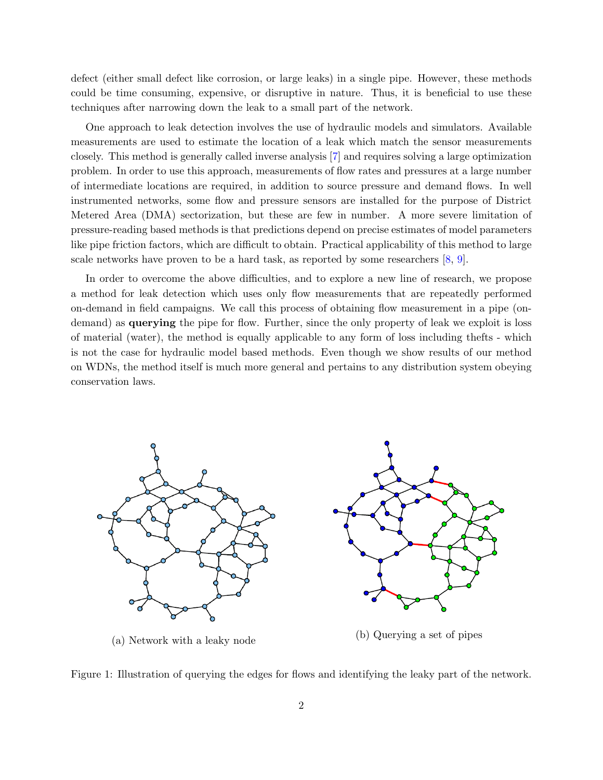defect (either small defect like corrosion, or large leaks) in a single pipe. However, these methods could be time consuming, expensive, or disruptive in nature. Thus, it is beneficial to use these techniques after narrowing down the leak to a small part of the network.

One approach to leak detection involves the use of hydraulic models and simulators. Available measurements are used to estimate the location of a leak which match the sensor measurements closely. This method is generally called inverse analysis [7] and requires solving a large optimization problem. In order to use this approach, measurements of flow rates and pressures at a large number of intermediate locations are required, in addition to source pressure and demand flows. In well instrumented networks, some flow and pressure sensors are installed for the purpose of District Metered Area (DMA) sectorization, but these are few in number. A more severe limitation of pressure-reading based methods is that predictions depend on precise estimates of model parameters like pipe friction factors, which are difficult to obtain. Practical applicability of this method to large scale networks have proven to be a hard task, as reported by some researchers [8, 9].

In order to overcome the above difficulties, and to explore a new line of research, we propose a method for leak detection which uses only flow measurements that are repeatedly performed on-demand in field campaigns. We call this process of obtaining flow measurement in a pipe (ondemand) as querying the pipe for flow. Further, since the only property of leak we exploit is loss of material (water), the method is equally applicable to any form of loss including thefts - which is not the case for hydraulic model based methods. Even though we show results of our method on WDNs, the method itself is much more general and pertains to any distribution system obeying conservation laws.



Figure 1: Illustration of querying the edges for flows and identifying the leaky part of the network.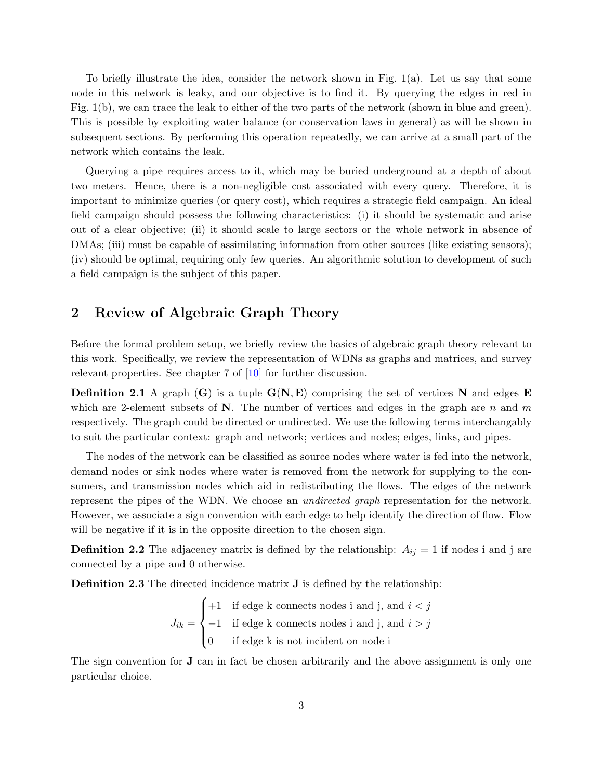To briefly illustrate the idea, consider the network shown in Fig. 1(a). Let us say that some node in this network is leaky, and our objective is to find it. By querying the edges in red in Fig. 1(b), we can trace the leak to either of the two parts of the network (shown in blue and green). This is possible by exploiting water balance (or conservation laws in general) as will be shown in subsequent sections. By performing this operation repeatedly, we can arrive at a small part of the network which contains the leak.

Querying a pipe requires access to it, which may be buried underground at a depth of about two meters. Hence, there is a non-negligible cost associated with every query. Therefore, it is important to minimize queries (or query cost), which requires a strategic field campaign. An ideal field campaign should possess the following characteristics: (i) it should be systematic and arise out of a clear objective; (ii) it should scale to large sectors or the whole network in absence of DMAs; (iii) must be capable of assimilating information from other sources (like existing sensors); (iv) should be optimal, requiring only few queries. An algorithmic solution to development of such a field campaign is the subject of this paper.

# 2 Review of Algebraic Graph Theory

Before the formal problem setup, we briefly review the basics of algebraic graph theory relevant to this work. Specifically, we review the representation of WDNs as graphs and matrices, and survey relevant properties. See chapter 7 of [10] for further discussion.

**Definition 2.1** A graph  $(G)$  is a tuple  $G(N, E)$  comprising the set of vertices N and edges E which are 2-element subsets of  $N$ . The number of vertices and edges in the graph are n and m respectively. The graph could be directed or undirected. We use the following terms interchangably to suit the particular context: graph and network; vertices and nodes; edges, links, and pipes.

The nodes of the network can be classified as source nodes where water is fed into the network, demand nodes or sink nodes where water is removed from the network for supplying to the consumers, and transmission nodes which aid in redistributing the flows. The edges of the network represent the pipes of the WDN. We choose an undirected graph representation for the network. However, we associate a sign convention with each edge to help identify the direction of flow. Flow will be negative if it is in the opposite direction to the chosen sign.

**Definition 2.2** The adjacency matrix is defined by the relationship:  $A_{ij} = 1$  if nodes i and j are connected by a pipe and 0 otherwise.

Definition 2.3 The directed incidence matrix **J** is defined by the relationship:

$$
J_{ik} = \begin{cases} +1 & \text{if edge k connects nodes i and j, and } i < j \\ -1 & \text{if edge k connects nodes i and j, and } i > j \\ 0 & \text{if edge k is not incident on node i} \end{cases}
$$

The sign convention for J can in fact be chosen arbitrarily and the above assignment is only one particular choice.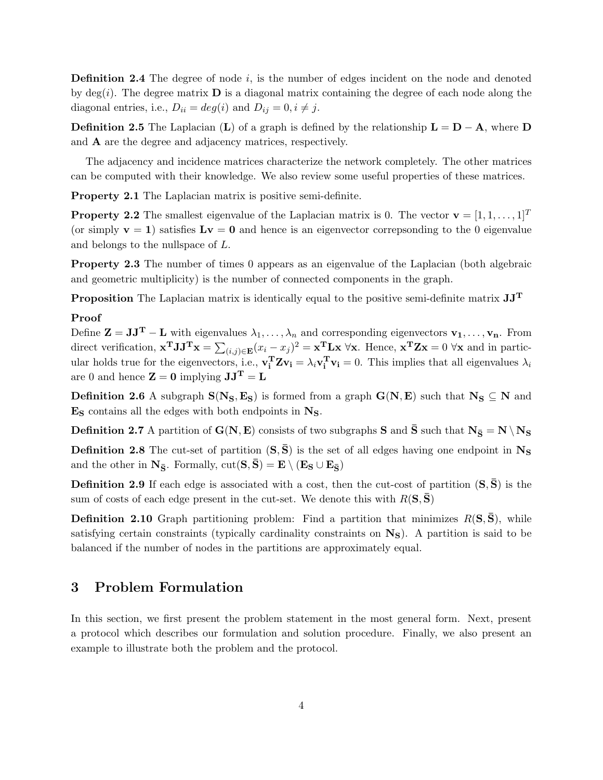**Definition 2.4** The degree of node  $i$ , is the number of edges incident on the node and denoted by deg(i). The degree matrix  $\bf{D}$  is a diagonal matrix containing the degree of each node along the diagonal entries, i.e.,  $D_{ii} = deg(i)$  and  $D_{ij} = 0, i \neq j$ .

**Definition 2.5** The Laplacian (L) of a graph is defined by the relationship  $\mathbf{L} = \mathbf{D} - \mathbf{A}$ , where  $\mathbf{D}$ and A are the degree and adjacency matrices, respectively.

The adjacency and incidence matrices characterize the network completely. The other matrices can be computed with their knowledge. We also review some useful properties of these matrices.

Property 2.1 The Laplacian matrix is positive semi-definite.

**Property 2.2** The smallest eigenvalue of the Laplacian matrix is 0. The vector  $\mathbf{v} = [1, 1, \dots, 1]^T$ (or simply  $v = 1$ ) satisfies  $Lv = 0$  and hence is an eigenvector correpsonding to the 0 eigenvalue and belongs to the nullspace of L.

Property 2.3 The number of times 0 appears as an eigenvalue of the Laplacian (both algebraic and geometric multiplicity) is the number of connected components in the graph.

**Proposition** The Laplacian matrix is identically equal to the positive semi-definite matrix  $JJ<sup>T</sup>$ 

#### Proof

Define  $\mathbf{Z} = \mathbf{J}\mathbf{J}^{\mathbf{T}} - \mathbf{L}$  with eigenvalues  $\lambda_1, \ldots, \lambda_n$  and corresponding eigenvectors  $\mathbf{v}_1, \ldots, \mathbf{v}_n$ . From direct verification,  $\mathbf{x}^T \mathbf{J} \mathbf{J}^T \mathbf{x} = \sum_{(i,j) \in \mathbf{E}} (x_i - x_j)^2 = \mathbf{x}^T \mathbf{L} \mathbf{x}$   $\forall \mathbf{x}$ . Hence,  $\mathbf{x}^T \mathbf{Z} \mathbf{x} = 0$   $\forall \mathbf{x}$  and in particular holds true for the eigenvectors, i.e.,  $\mathbf{v_i^T} \mathbf{Z} \mathbf{v_i} = \lambda_i \mathbf{v_i^T} \mathbf{v_i} = 0$ . This implies that all eigenvalues  $\lambda_i$ are 0 and hence  $\mathbf{Z} = \mathbf{0}$  implying  $\mathbf{J} \mathbf{J}^{\mathbf{T}} = \mathbf{L}$ 

Definition 2.6 A subgraph  $S(N_S, E_S)$  is formed from a graph  $G(N, E)$  such that  $N_S \subseteq N$  and  $\mathbf{E}_\mathbf{S}$  contains all the edges with both endpoints in  $\mathbf{N}_\mathbf{S}.$ 

**Definition 2.7** A partition of  $G(N, E)$  consists of two subgraphs S and  $\bar{S}$  such that  $N_{\bar{S}} = N \setminus N_S$ 

**Definition 2.8** The cut-set of partition  $(S,\bar{S})$  is the set of all edges having one endpoint in  $N_S$ and the other in  $\mathbf{N}_{\bar{\mathbf{S}}}\text{. Formally, cut}(\mathbf{S}, \bar{\mathbf{S}}) = \mathbf{E} \setminus (\mathbf{E}_{\bar{\mathbf{S}}} \cup \mathbf{E}_{\bar{\mathbf{S}}})$ 

**Definition 2.9** If each edge is associated with a cost, then the cut-cost of partition  $(S, S)$  is the sum of costs of each edge present in the cut-set. We denote this with  $R(S,\bar{S})$ 

**Definition 2.10** Graph partitioning problem: Find a partition that minimizes  $R(S, \bar{S})$ , while satisfying certain constraints (typically cardinality constraints on  $N<sub>S</sub>$ ). A partition is said to be balanced if the number of nodes in the partitions are approximately equal.

### 3 Problem Formulation

In this section, we first present the problem statement in the most general form. Next, present a protocol which describes our formulation and solution procedure. Finally, we also present an example to illustrate both the problem and the protocol.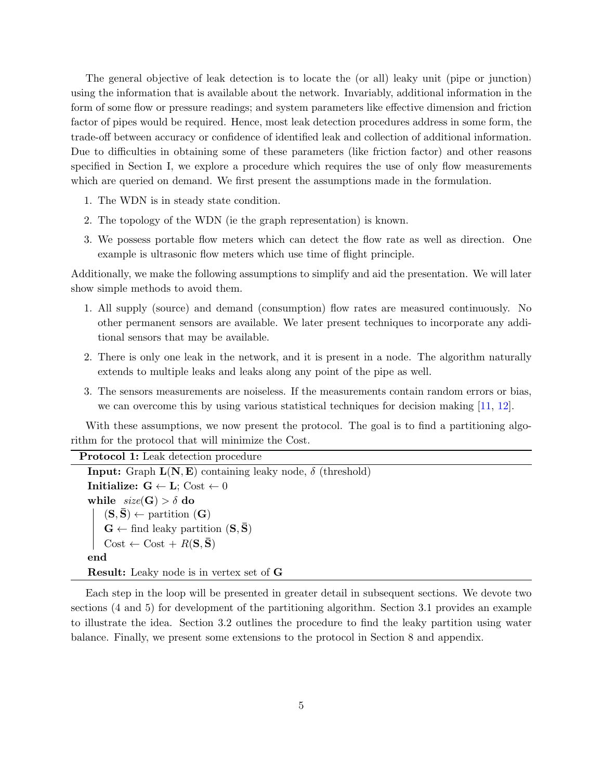The general objective of leak detection is to locate the (or all) leaky unit (pipe or junction) using the information that is available about the network. Invariably, additional information in the form of some flow or pressure readings; and system parameters like effective dimension and friction factor of pipes would be required. Hence, most leak detection procedures address in some form, the trade-off between accuracy or confidence of identified leak and collection of additional information. Due to difficulties in obtaining some of these parameters (like friction factor) and other reasons specified in Section I, we explore a procedure which requires the use of only flow measurements which are queried on demand. We first present the assumptions made in the formulation.

- 1. The WDN is in steady state condition.
- 2. The topology of the WDN (ie the graph representation) is known.
- 3. We possess portable flow meters which can detect the flow rate as well as direction. One example is ultrasonic flow meters which use time of flight principle.

Additionally, we make the following assumptions to simplify and aid the presentation. We will later show simple methods to avoid them.

- 1. All supply (source) and demand (consumption) flow rates are measured continuously. No other permanent sensors are available. We later present techniques to incorporate any additional sensors that may be available.
- 2. There is only one leak in the network, and it is present in a node. The algorithm naturally extends to multiple leaks and leaks along any point of the pipe as well.
- 3. The sensors measurements are noiseless. If the measurements contain random errors or bias, we can overcome this by using various statistical techniques for decision making [11, 12].

With these assumptions, we now present the protocol. The goal is to find a partitioning algorithm for the protocol that will minimize the Cost.

| <b>Protocol 1:</b> Leak detection procedure                                                                                                                                            |
|----------------------------------------------------------------------------------------------------------------------------------------------------------------------------------------|
| <b>Input:</b> Graph $L(N, E)$ containing leaky node, $\delta$ (threshold)                                                                                                              |
| Initialize: $G \leftarrow L$ ; Cost $\leftarrow 0$                                                                                                                                     |
| while $size(G) > \delta$ do                                                                                                                                                            |
|                                                                                                                                                                                        |
| $\begin{aligned} &(\mathbf{S},\mathbf{\bar{S}})\leftarrow\text{partition}~(\mathbf{G})\\ &\mathbf{G}\leftarrow\text{find leaky partition}~(\mathbf{S},\mathbf{\bar{S}}) \end{aligned}$ |
| $Cost \leftarrow Cost + R(S, \bar{S})$                                                                                                                                                 |
| end                                                                                                                                                                                    |
| <b>Result:</b> Leaky node is in vertex set of G                                                                                                                                        |

Each step in the loop will be presented in greater detail in subsequent sections. We devote two sections (4 and 5) for development of the partitioning algorithm. Section 3.1 provides an example to illustrate the idea. Section 3.2 outlines the procedure to find the leaky partition using water balance. Finally, we present some extensions to the protocol in Section 8 and appendix.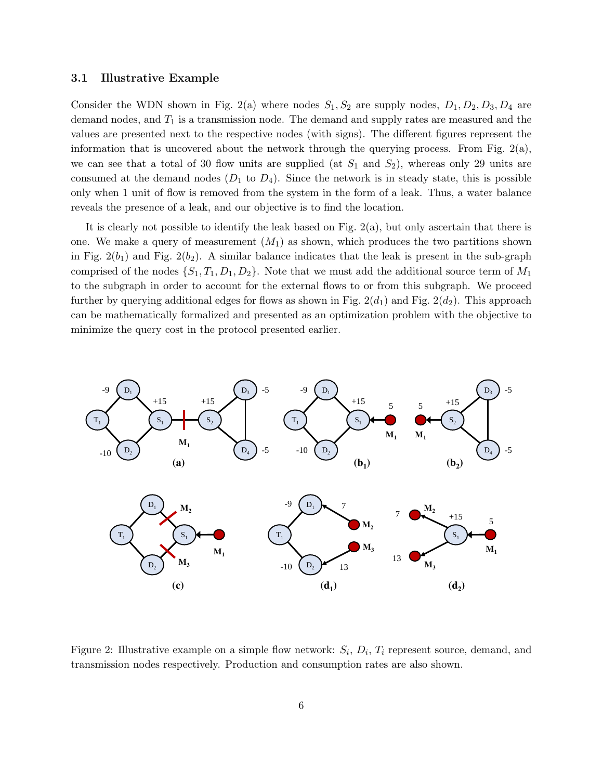#### 3.1 Illustrative Example

Consider the WDN shown in Fig. 2(a) where nodes  $S_1, S_2$  are supply nodes,  $D_1, D_2, D_3, D_4$  are demand nodes, and  $T_1$  is a transmission node. The demand and supply rates are measured and the values are presented next to the respective nodes (with signs). The different figures represent the information that is uncovered about the network through the querying process. From Fig.  $2(a)$ , we can see that a total of 30 flow units are supplied (at  $S_1$  and  $S_2$ ), whereas only 29 units are consumed at the demand nodes  $(D_1 \text{ to } D_4)$ . Since the network is in steady state, this is possible only when 1 unit of flow is removed from the system in the form of a leak. Thus, a water balance reveals the presence of a leak, and our objective is to find the location.

It is clearly not possible to identify the leak based on Fig. 2(a), but only ascertain that there is one. We make a query of measurement  $(M_1)$  as shown, which produces the two partitions shown in Fig.  $2(b_1)$  and Fig.  $2(b_2)$ . A similar balance indicates that the leak is present in the sub-graph comprised of the nodes  $\{S_1, T_1, D_1, D_2\}$ . Note that we must add the additional source term of  $M_1$ to the subgraph in order to account for the external flows to or from this subgraph. We proceed further by querying additional edges for flows as shown in Fig.  $2(d_1)$  and Fig.  $2(d_2)$ . This approach can be mathematically formalized and presented as an optimization problem with the objective to minimize the query cost in the protocol presented earlier.



Figure 2: Illustrative example on a simple flow network:  $S_i$ ,  $D_i$ ,  $T_i$  represent source, demand, and transmission nodes respectively. Production and consumption rates are also shown.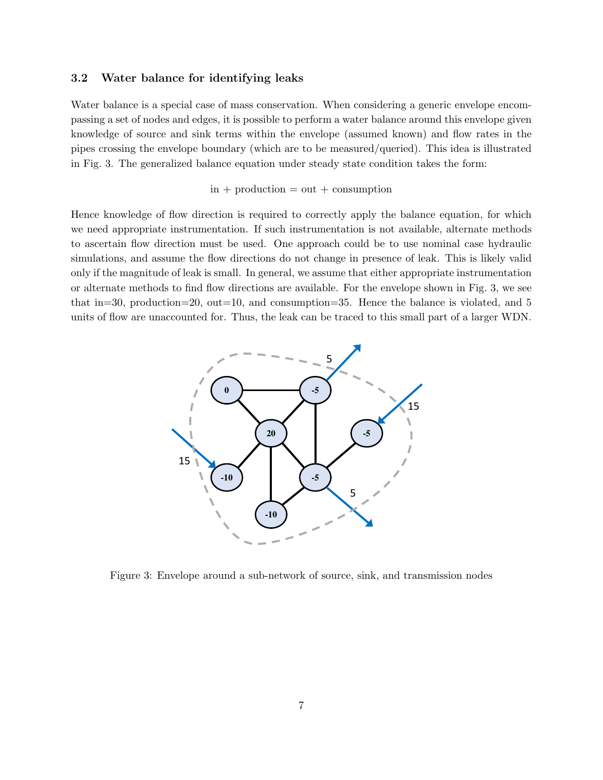### 3.2 Water balance for identifying leaks

Water balance is a special case of mass conservation. When considering a generic envelope encompassing a set of nodes and edges, it is possible to perform a water balance around this envelope given knowledge of source and sink terms within the envelope (assumed known) and flow rates in the pipes crossing the envelope boundary (which are to be measured/queried). This idea is illustrated in Fig. 3. The generalized balance equation under steady state condition takes the form:

#### $in +$  production  $=$  out  $+$  consumption

Hence knowledge of flow direction is required to correctly apply the balance equation, for which we need appropriate instrumentation. If such instrumentation is not available, alternate methods to ascertain flow direction must be used. One approach could be to use nominal case hydraulic simulations, and assume the flow directions do not change in presence of leak. This is likely valid only if the magnitude of leak is small. In general, we assume that either appropriate instrumentation or alternate methods to find flow directions are available. For the envelope shown in Fig. 3, we see that in=30, production=20, out=10, and consumption=35. Hence the balance is violated, and 5 units of flow are unaccounted for. Thus, the leak can be traced to this small part of a larger WDN.



Figure 3: Envelope around a sub-network of source, sink, and transmission nodes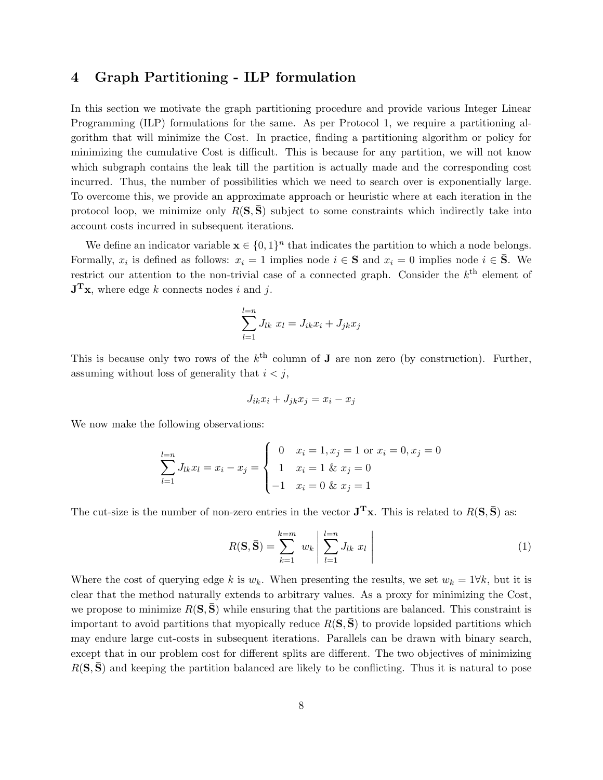### 4 Graph Partitioning - ILP formulation

In this section we motivate the graph partitioning procedure and provide various Integer Linear Programming (ILP) formulations for the same. As per Protocol 1, we require a partitioning algorithm that will minimize the Cost. In practice, finding a partitioning algorithm or policy for minimizing the cumulative Cost is difficult. This is because for any partition, we will not know which subgraph contains the leak till the partition is actually made and the corresponding cost incurred. Thus, the number of possibilities which we need to search over is exponentially large. To overcome this, we provide an approximate approach or heuristic where at each iteration in the protocol loop, we minimize only  $R(S,\bar{S})$  subject to some constraints which indirectly take into account costs incurred in subsequent iterations.

We define an indicator variable  $\mathbf{x} \in \{0,1\}^n$  that indicates the partition to which a node belongs. Formally,  $x_i$  is defined as follows:  $x_i = 1$  implies node  $i \in S$  and  $x_i = 0$  implies node  $i \in \overline{S}$ . We restrict our attention to the non-trivial case of a connected graph. Consider the  $k<sup>th</sup>$  element of  $J<sup>T</sup>x$ , where edge k connects nodes i and j.

$$
\sum_{l=1}^{l=n} J_{lk} x_l = J_{ik} x_i + J_{jk} x_j
$$

This is because only two rows of the  $k^{\text{th}}$  column of **J** are non zero (by construction). Further, assuming without loss of generality that  $i < j$ ,

$$
J_{ik}x_i + J_{jk}x_j = x_i - x_j
$$

We now make the following observations:

$$
\sum_{l=1}^{l=n} J_{lk} x_l = x_i - x_j = \begin{cases} 0 & x_i = 1, x_j = 1 \text{ or } x_i = 0, x_j = 0\\ 1 & x_i = 1 \& x_j = 0\\ -1 & x_i = 0 \& x_j = 1 \end{cases}
$$

The cut-size is the number of non-zero entries in the vector  $J^T x$ . This is related to  $R(S, \bar{S})$  as:

$$
R(\mathbf{S}, \bar{\mathbf{S}}) = \sum_{k=1}^{k=m} w_k \left| \sum_{l=1}^{l=n} J_{lk} x_l \right| \tag{1}
$$

Where the cost of querying edge k is  $w_k$ . When presenting the results, we set  $w_k = 1 \forall k$ , but it is clear that the method naturally extends to arbitrary values. As a proxy for minimizing the Cost, we propose to minimize  $R(S, \bar{S})$  while ensuring that the partitions are balanced. This constraint is important to avoid partitions that myopically reduce  $R(S, S)$  to provide lopsided partitions which may endure large cut-costs in subsequent iterations. Parallels can be drawn with binary search, except that in our problem cost for different splits are different. The two objectives of minimizing  $R(S, S)$  and keeping the partition balanced are likely to be conflicting. Thus it is natural to pose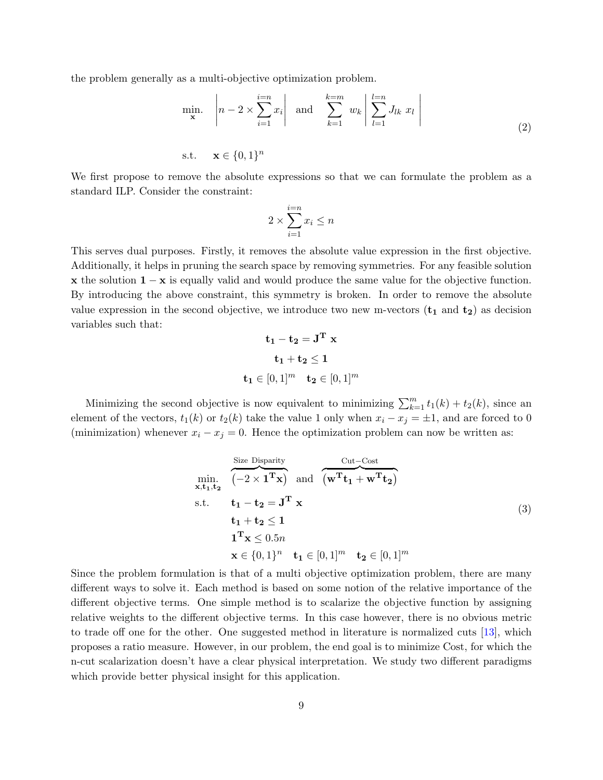the problem generally as a multi-objective optimization problem.

$$
\min_{\mathbf{x}} \quad \left| n - 2 \times \sum_{i=1}^{i=n} x_i \right| \quad \text{and} \quad \sum_{k=1}^{k=m} w_k \left| \sum_{l=1}^{l=n} J_{lk} x_l \right|
$$
\n
$$
\text{s.t.} \quad \mathbf{x} \in \{0, 1\}^n \tag{2}
$$

We first propose to remove the absolute expressions so that we can formulate the problem as a standard ILP. Consider the constraint:

$$
2 \times \sum_{i=1}^{i=n} x_i \le n
$$

This serves dual purposes. Firstly, it removes the absolute value expression in the first objective. Additionally, it helps in pruning the search space by removing symmetries. For any feasible solution x the solution  $1 - x$  is equally valid and would produce the same value for the objective function. By introducing the above constraint, this symmetry is broken. In order to remove the absolute value expression in the second objective, we introduce two new m-vectors  $(t_1 \text{ and } t_2)$  as decision variables such that:

$$
\mathbf{t_1} - \mathbf{t_2} = \mathbf{J}^{\mathbf{T}} \mathbf{x}
$$

$$
\mathbf{t_1} + \mathbf{t_2} \le \mathbf{1}
$$

$$
\mathbf{t_1} \in [0, 1]^m \quad \mathbf{t_2} \in [0, 1]^m
$$

Minimizing the second objective is now equivalent to minimizing  $\sum_{k=1}^{m} t_1(k) + t_2(k)$ , since an element of the vectors,  $t_1(k)$  or  $t_2(k)$  take the value 1 only when  $x_i - x_j = \pm 1$ , and are forced to 0 (minimization) whenever  $x_i - x_j = 0$ . Hence the optimization problem can now be written as:

$$
\begin{aligned}\n&\text{Size Display} \\
&\text{min. } \quad \overbrace{(-2 \times 1^T \mathbf{x})}^{\text{Citz Disparity}} \text{ and } \overbrace{(\mathbf{w}^{\mathrm{T}} \mathbf{t}_1 + \mathbf{w}^{\mathrm{T}} \mathbf{t}_2)}^{\text{Cut-Cost}} \\
&\text{s.t. } \quad \mathbf{t}_1 - \mathbf{t}_2 = \mathbf{J}^{\mathrm{T}} \mathbf{x} \\
&\mathbf{t}_1 + \mathbf{t}_2 \le 1 \\
&\mathbf{1}^{\mathrm{T}} \mathbf{x} \le 0.5n \\
&\mathbf{x} \in \{0, 1\}^n \quad \mathbf{t}_1 \in [0, 1]^m \quad \mathbf{t}_2 \in [0, 1]^m\n\end{aligned} \tag{3}
$$

Since the problem formulation is that of a multi objective optimization problem, there are many different ways to solve it. Each method is based on some notion of the relative importance of the different objective terms. One simple method is to scalarize the objective function by assigning relative weights to the different objective terms. In this case however, there is no obvious metric to trade off one for the other. One suggested method in literature is normalized cuts [13], which proposes a ratio measure. However, in our problem, the end goal is to minimize Cost, for which the n-cut scalarization doesn't have a clear physical interpretation. We study two different paradigms which provide better physical insight for this application.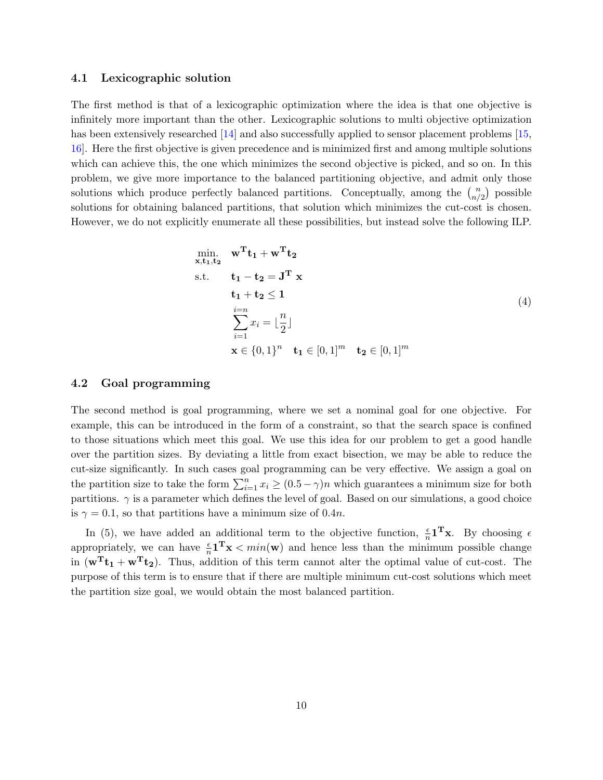### 4.1 Lexicographic solution

The first method is that of a lexicographic optimization where the idea is that one objective is infinitely more important than the other. Lexicographic solutions to multi objective optimization has been extensively researched [14] and also successfully applied to sensor placement problems [15, 16]. Here the first objective is given precedence and is minimized first and among multiple solutions which can achieve this, the one which minimizes the second objective is picked, and so on. In this problem, we give more importance to the balanced partitioning objective, and admit only those solutions which produce perfectly balanced partitions. Conceptually, among the  $\binom{n}{n}$  $\binom{n}{n/2}$  possible solutions for obtaining balanced partitions, that solution which minimizes the cut-cost is chosen. However, we do not explicitly enumerate all these possibilities, but instead solve the following ILP.

$$
\min_{\mathbf{x}, \mathbf{t}_1, \mathbf{t}_2} \mathbf{w}^{\mathrm{T}} \mathbf{t}_1 + \mathbf{w}^{\mathrm{T}} \mathbf{t}_2
$$
\n
$$
\text{s.t.} \qquad \mathbf{t}_1 - \mathbf{t}_2 = \mathbf{J}^{\mathrm{T}} \mathbf{x}
$$
\n
$$
\mathbf{t}_1 + \mathbf{t}_2 \le 1
$$
\n
$$
\sum_{i=1}^{i=n} x_i = \lfloor \frac{n}{2} \rfloor
$$
\n
$$
\mathbf{x} \in \{0, 1\}^n \quad \mathbf{t}_1 \in [0, 1]^m \quad \mathbf{t}_2 \in [0, 1]^m
$$
\n
$$
(4)
$$

### 4.2 Goal programming

The second method is goal programming, where we set a nominal goal for one objective. For example, this can be introduced in the form of a constraint, so that the search space is confined to those situations which meet this goal. We use this idea for our problem to get a good handle over the partition sizes. By deviating a little from exact bisection, we may be able to reduce the cut-size significantly. In such cases goal programming can be very effective. We assign a goal on the partition size to take the form  $\sum_{i=1}^{n} x_i \ge (0.5 - \gamma)n$  which guarantees a minimum size for both partitions.  $\gamma$  is a parameter which defines the level of goal. Based on our simulations, a good choice is  $\gamma = 0.1$ , so that partitions have a minimum size of 0.4n.

In (5), we have added an additional term to the objective function,  $\frac{\epsilon}{n} \mathbf{1}^T \mathbf{x}$ . By choosing  $\epsilon$ appropriately, we can have  $\frac{\epsilon}{n} \mathbf{1}^T \mathbf{x} \leq min(\mathbf{w})$  and hence less than the minimum possible change in  $(\mathbf{w}^T \mathbf{t}_1 + \mathbf{w}^T \mathbf{t}_2)$ . Thus, addition of this term cannot alter the optimal value of cut-cost. The purpose of this term is to ensure that if there are multiple minimum cut-cost solutions which meet the partition size goal, we would obtain the most balanced partition.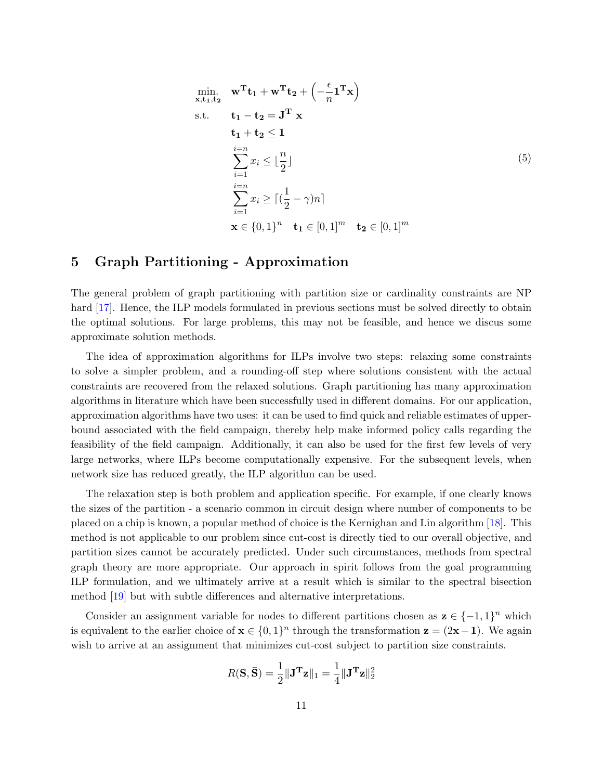min. 
$$
\mathbf{w}^{\mathrm{T}} \mathbf{t}_1 + \mathbf{w}^{\mathrm{T}} \mathbf{t}_2 + \left(-\frac{\epsilon}{n} \mathbf{1}^{\mathrm{T}} \mathbf{x}\right)
$$
  
\ns.t.  $\mathbf{t}_1 - \mathbf{t}_2 = \mathbf{J}^{\mathrm{T}} \mathbf{x}$   
\n $\mathbf{t}_1 + \mathbf{t}_2 \leq \mathbf{1}$   
\n $\sum_{i=1}^{i=n} x_i \leq \lfloor \frac{n}{2} \rfloor$   
\n $\sum_{i=1}^{i=n} x_i \geq \lceil (\frac{1}{2} - \gamma)n \rceil$   
\n $\mathbf{x} \in \{0, 1\}^n \quad \mathbf{t}_1 \in [0, 1]^m \quad \mathbf{t}_2 \in [0, 1]^m$ 

### 5 Graph Partitioning - Approximation

The general problem of graph partitioning with partition size or cardinality constraints are NP hard [17]. Hence, the ILP models formulated in previous sections must be solved directly to obtain the optimal solutions. For large problems, this may not be feasible, and hence we discus some approximate solution methods.

The idea of approximation algorithms for ILPs involve two steps: relaxing some constraints to solve a simpler problem, and a rounding-off step where solutions consistent with the actual constraints are recovered from the relaxed solutions. Graph partitioning has many approximation algorithms in literature which have been successfully used in different domains. For our application, approximation algorithms have two uses: it can be used to find quick and reliable estimates of upperbound associated with the field campaign, thereby help make informed policy calls regarding the feasibility of the field campaign. Additionally, it can also be used for the first few levels of very large networks, where ILPs become computationally expensive. For the subsequent levels, when network size has reduced greatly, the ILP algorithm can be used.

The relaxation step is both problem and application specific. For example, if one clearly knows the sizes of the partition - a scenario common in circuit design where number of components to be placed on a chip is known, a popular method of choice is the Kernighan and Lin algorithm [18]. This method is not applicable to our problem since cut-cost is directly tied to our overall objective, and partition sizes cannot be accurately predicted. Under such circumstances, methods from spectral graph theory are more appropriate. Our approach in spirit follows from the goal programming ILP formulation, and we ultimately arrive at a result which is similar to the spectral bisection method [19] but with subtle differences and alternative interpretations.

Consider an assignment variable for nodes to different partitions chosen as  $\mathbf{z} \in \{-1,1\}^n$  which is equivalent to the earlier choice of  $\mathbf{x} \in \{0,1\}^n$  through the transformation  $\mathbf{z} = (2\mathbf{x} - \mathbf{1})$ . We again wish to arrive at an assignment that minimizes cut-cost subject to partition size constraints.

$$
R(\mathbf{S}, \bar{\mathbf{S}}) = \frac{1}{2} \|\mathbf{J}^{\mathbf{T}} \mathbf{z}\|_1 = \frac{1}{4} \|\mathbf{J}^{\mathbf{T}} \mathbf{z}\|_2^2
$$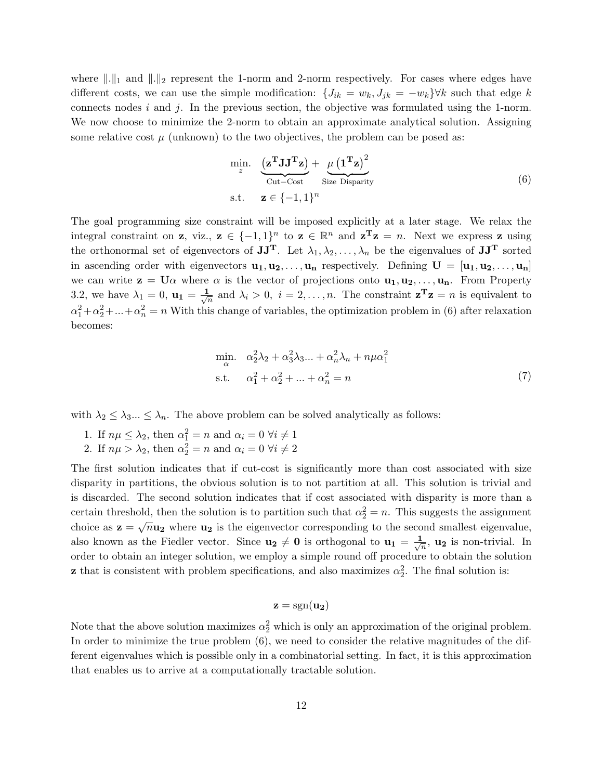where  $\|.\|_1$  and  $\|.\|_2$  represent the 1-norm and 2-norm respectively. For cases where edges have different costs, we can use the simple modification:  $\{J_{ik} = w_k, J_{jk} = -w_k\} \forall k$  such that edge k connects nodes  $i$  and  $j$ . In the previous section, the objective was formulated using the 1-norm. We now choose to minimize the 2-norm to obtain an approximate analytical solution. Assigning some relative cost  $\mu$  (unknown) to the two objectives, the problem can be posed as:

$$
\min_{z} \quad \underbrace{\left(\mathbf{z}^{\mathbf{T}} \mathbf{J} \mathbf{J}^{\mathbf{T}} \mathbf{z}\right)}_{\text{Cut}-\text{Cost}} + \underbrace{\mu \left(\mathbf{1}^{\mathbf{T}} \mathbf{z}\right)^{2}}_{\text{Size Disparity}}
$$
\n
$$
\text{s.t.} \quad \mathbf{z} \in \{-1, 1\}^{n} \tag{6}
$$

The goal programming size constraint will be imposed explicitly at a later stage. We relax the integral constraint on **z**, viz.,  $\mathbf{z} \in \{-1,1\}^n$  to  $\mathbf{z} \in \mathbb{R}^n$  and  $\mathbf{z}^T \mathbf{z} = n$ . Next we express **z** using the orthonormal set of eigenvectors of  $JJ^T$ . Let  $\lambda_1, \lambda_2, \ldots, \lambda_n$  be the eigenvalues of  $JJ^T$  sorted in ascending order with eigenvectors  $\mathbf{u}_1, \mathbf{u}_2, \ldots, \mathbf{u}_n$  respectively. Defining  $\mathbf{U} = [\mathbf{u}_1, \mathbf{u}_2, \ldots, \mathbf{u}_n]$ we can write  $z = U\alpha$  where  $\alpha$  is the vector of projections onto  $u_1, u_2, \ldots, u_n$ . From Property 3.2, we have  $\lambda_1 = 0$ ,  ${\bf u}_1 = \frac{1}{\sqrt{2}}$  $\frac{1}{n}$  and  $\lambda_i > 0$ ,  $i = 2, ..., n$ . The constraint  $\mathbf{z}^T \mathbf{z} = n$  is equivalent to  $\alpha_1^2 + \alpha_2^2 + \dots + \alpha_n^2 = n$  With this change of variables, the optimization problem in (6) after relaxation becomes:

$$
\min_{\alpha} \quad \alpha_2^2 \lambda_2 + \alpha_3^2 \lambda_3 \dots + \alpha_n^2 \lambda_n + n\mu \alpha_1^2
$$
\n
$$
\text{s.t.} \quad \alpha_1^2 + \alpha_2^2 + \dots + \alpha_n^2 = n \tag{7}
$$

with  $\lambda_2 \leq \lambda_3 ... \leq \lambda_n$ . The above problem can be solved analytically as follows:

- 1. If  $n\mu \leq \lambda_2$ , then  $\alpha_1^2 = n$  and  $\alpha_i = 0 \,\forall i \neq 1$
- 2. If  $n\mu > \lambda_2$ , then  $\alpha_2^2 = n$  and  $\alpha_i = 0 \; \forall i \neq 2$

The first solution indicates that if cut-cost is significantly more than cost associated with size disparity in partitions, the obvious solution is to not partition at all. This solution is trivial and is discarded. The second solution indicates that if cost associated with disparity is more than a certain threshold, then the solution is to partition such that  $\alpha_2^2 = n$ . This suggests the assignment choice as  $z = \sqrt{n} u_2$  where  $u_2$  is the eigenvector corresponding to the second smallest eigenvalue, also known as the Fiedler vector. Since  $\mathbf{u_2} \neq \mathbf{0}$  is orthogonal to  $\mathbf{u_1} = \frac{1}{\sqrt{2}}$  $\overline{n}$ , **u**<sub>2</sub> is non-trivial. In order to obtain an integer solution, we employ a simple round off procedure to obtain the solution **z** that is consistent with problem specifications, and also maximizes  $\alpha_2^2$ . The final solution is:

$$
\mathbf{z} = \text{sgn}(\mathbf{u_2})
$$

Note that the above solution maximizes  $\alpha_2^2$  which is only an approximation of the original problem. In order to minimize the true problem (6), we need to consider the relative magnitudes of the different eigenvalues which is possible only in a combinatorial setting. In fact, it is this approximation that enables us to arrive at a computationally tractable solution.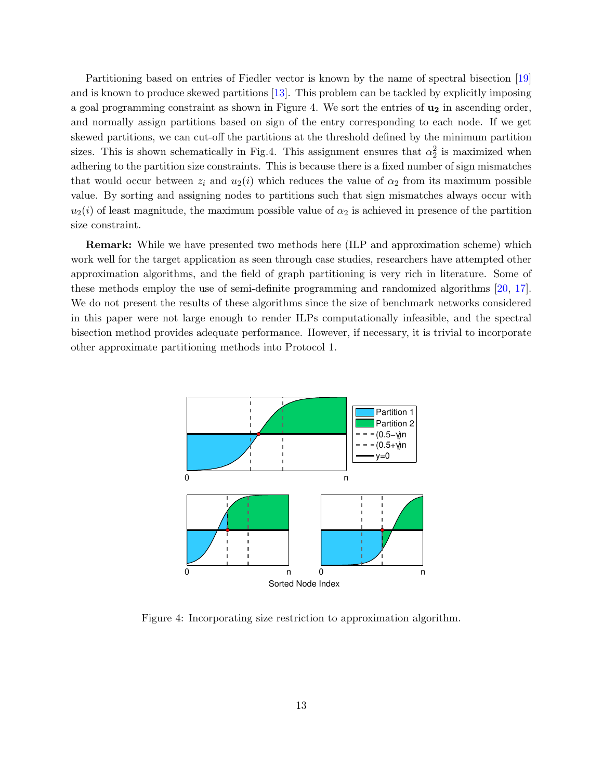Partitioning based on entries of Fiedler vector is known by the name of spectral bisection [19] and is known to produce skewed partitions [13]. This problem can be tackled by explicitly imposing a goal programming constraint as shown in Figure 4. We sort the entries of  $\mathbf{u}_2$  in ascending order, and normally assign partitions based on sign of the entry corresponding to each node. If we get skewed partitions, we can cut-off the partitions at the threshold defined by the minimum partition sizes. This is shown schematically in Fig.4. This assignment ensures that  $\alpha_2^2$  is maximized when adhering to the partition size constraints. This is because there is a fixed number of sign mismatches that would occur between  $z_i$  and  $u_2(i)$  which reduces the value of  $\alpha_2$  from its maximum possible value. By sorting and assigning nodes to partitions such that sign mismatches always occur with  $u_2(i)$  of least magnitude, the maximum possible value of  $\alpha_2$  is achieved in presence of the partition size constraint.

Remark: While we have presented two methods here (ILP and approximation scheme) which work well for the target application as seen through case studies, researchers have attempted other approximation algorithms, and the field of graph partitioning is very rich in literature. Some of these methods employ the use of semi-definite programming and randomized algorithms [20, 17]. We do not present the results of these algorithms since the size of benchmark networks considered in this paper were not large enough to render ILPs computationally infeasible, and the spectral bisection method provides adequate performance. However, if necessary, it is trivial to incorporate other approximate partitioning methods into Protocol 1.



Figure 4: Incorporating size restriction to approximation algorithm.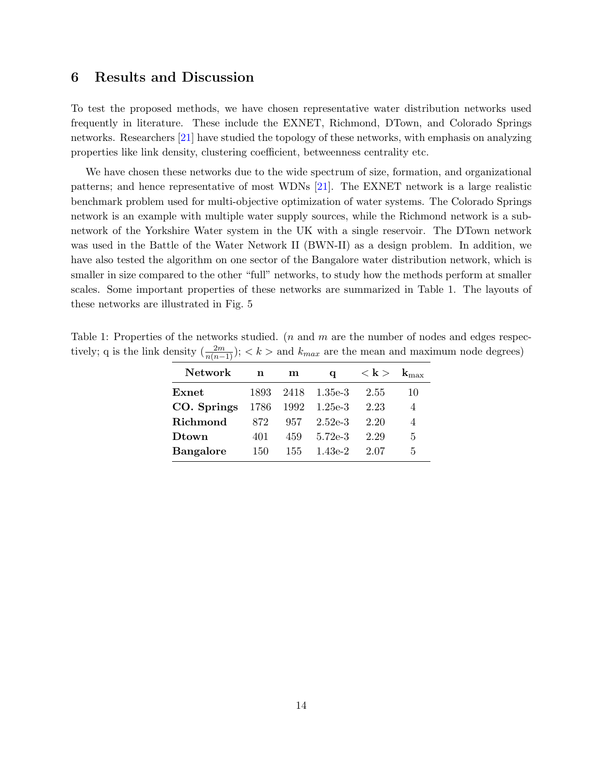### 6 Results and Discussion

To test the proposed methods, we have chosen representative water distribution networks used frequently in literature. These include the EXNET, Richmond, DTown, and Colorado Springs networks. Researchers [21] have studied the topology of these networks, with emphasis on analyzing properties like link density, clustering coefficient, betweenness centrality etc.

We have chosen these networks due to the wide spectrum of size, formation, and organizational patterns; and hence representative of most WDNs [21]. The EXNET network is a large realistic benchmark problem used for multi-objective optimization of water systems. The Colorado Springs network is an example with multiple water supply sources, while the Richmond network is a subnetwork of the Yorkshire Water system in the UK with a single reservoir. The DTown network was used in the Battle of the Water Network II (BWN-II) as a design problem. In addition, we have also tested the algorithm on one sector of the Bangalore water distribution network, which is smaller in size compared to the other "full" networks, to study how the methods perform at smaller scales. Some important properties of these networks are summarized in Table 1. The layouts of these networks are illustrated in Fig. 5

Table 1: Properties of the networks studied. (*n* and  $m$  are the number of nodes and edges respectively; q is the link density  $\left(\frac{2m}{n(n-1)}\right); < k >$  and  $k_{max}$  are the mean and maximum node degrees)

| <b>Network</b>   | n    | m    | a            | $<\mathbf{k}>$ |    |
|------------------|------|------|--------------|----------------|----|
| Exnet            | 1893 |      | 2418 1.35e-3 | 2.55           | 10 |
| CO. Springs      | 1786 | 1992 | $1.25e-3$    | 2.23           | 4  |
| <b>Richmond</b>  | 872  | 957  | $2.52e-3$    | 2.20           | 4  |
| Dtown            | 401  | 459  | $5.72e-3$    | 2.29           | 5  |
| <b>Bangalore</b> | 150  | 155  | $1.43e-2$    | 2.07           | 5  |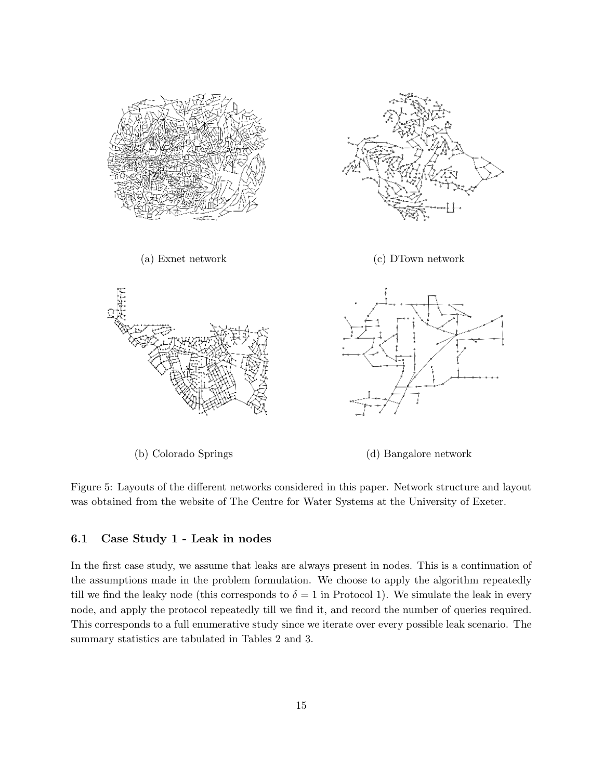

Figure 5: Layouts of the different networks considered in this paper. Network structure and layout was obtained from the website of The Centre for Water Systems at the University of Exeter.

### 6.1 Case Study 1 - Leak in nodes

In the first case study, we assume that leaks are always present in nodes. This is a continuation of the assumptions made in the problem formulation. We choose to apply the algorithm repeatedly till we find the leaky node (this corresponds to  $\delta = 1$  in Protocol 1). We simulate the leak in every node, and apply the protocol repeatedly till we find it, and record the number of queries required. This corresponds to a full enumerative study since we iterate over every possible leak scenario. The summary statistics are tabulated in Tables 2 and 3.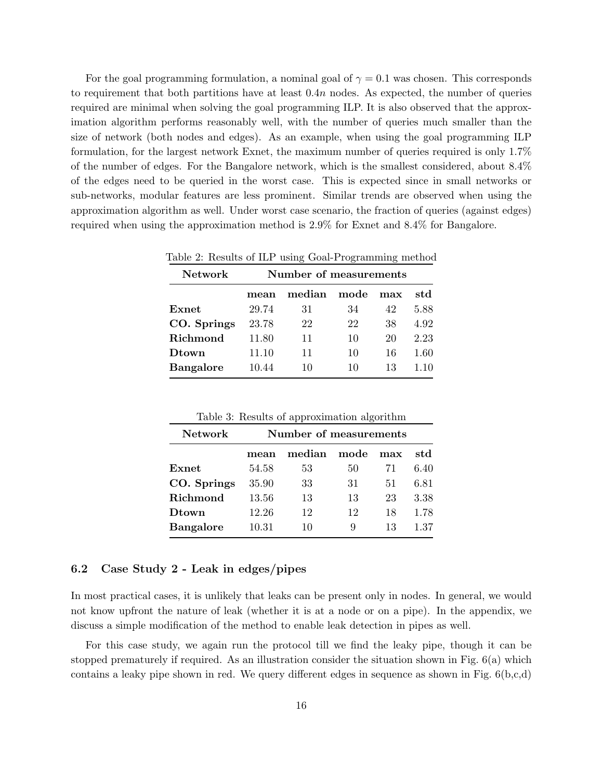For the goal programming formulation, a nominal goal of  $\gamma = 0.1$  was chosen. This corresponds to requirement that both partitions have at least  $0.4n$  nodes. As expected, the number of queries required are minimal when solving the goal programming ILP. It is also observed that the approximation algorithm performs reasonably well, with the number of queries much smaller than the size of network (both nodes and edges). As an example, when using the goal programming ILP formulation, for the largest network Exnet, the maximum number of queries required is only 1.7% of the number of edges. For the Bangalore network, which is the smallest considered, about 8.4% of the edges need to be queried in the worst case. This is expected since in small networks or sub-networks, modular features are less prominent. Similar trends are observed when using the approximation algorithm as well. Under worst case scenario, the fraction of queries (against edges) required when using the approximation method is 2.9% for Exnet and 8.4% for Bangalore.

| Table 2. Results of the using Goal-Frogramming method |       |                        |      |     |      |  |
|-------------------------------------------------------|-------|------------------------|------|-----|------|--|
| <b>Network</b>                                        |       | Number of measurements |      |     |      |  |
|                                                       | mean  | median                 | mode | max | std  |  |
| Exnet                                                 | 29.74 | 31                     | 34   | 42  | 5.88 |  |
| CO. Springs                                           | 23.78 | 22                     | 22   | 38  | 4.92 |  |
| Richmond                                              | 11.80 | 11                     | 10   | 20  | 2.23 |  |
| Dtown                                                 | 11.10 | 11                     | 10   | 16  | 1.60 |  |
| <b>Bangalore</b>                                      | 10.44 | 10                     | 10   | 13  | 1.10 |  |
|                                                       |       |                        |      |     |      |  |

Table 2: Results of ILP using Goal-Programming method

| <b>Network</b>   | Number of measurements |        |      |     |      |  |
|------------------|------------------------|--------|------|-----|------|--|
|                  | mean                   | median | mode | max | std  |  |
| Exnet            | 54.58                  | 53     | 50   | 71  | 6.40 |  |
| CO. Springs      | 35.90                  | 33     | 31   | 51  | 6.81 |  |
| Richmond         | 13.56                  | 13     | 13   | 23  | 3.38 |  |
| Dtown            | 12.26                  | 12     | 12   | 18  | 1.78 |  |
| <b>Bangalore</b> | 10.31                  | 10     | 9    | 13  | 1.37 |  |

Table 3: Results of approximation algorithm

### 6.2 Case Study 2 - Leak in edges/pipes

In most practical cases, it is unlikely that leaks can be present only in nodes. In general, we would not know upfront the nature of leak (whether it is at a node or on a pipe). In the appendix, we discuss a simple modification of the method to enable leak detection in pipes as well.

For this case study, we again run the protocol till we find the leaky pipe, though it can be stopped prematurely if required. As an illustration consider the situation shown in Fig. 6(a) which contains a leaky pipe shown in red. We query different edges in sequence as shown in Fig.  $6(b,c,d)$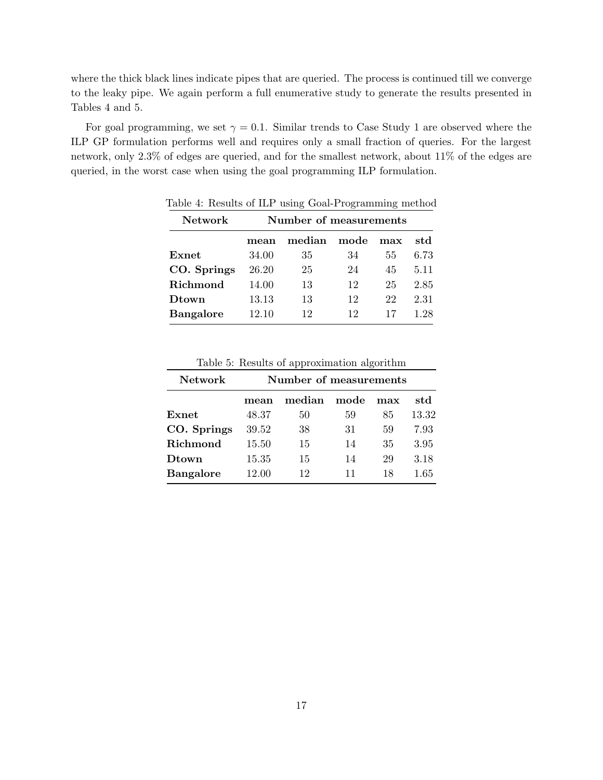where the thick black lines indicate pipes that are queried. The process is continued till we converge to the leaky pipe. We again perform a full enumerative study to generate the results presented in Tables 4 and 5.

For goal programming, we set  $\gamma = 0.1$ . Similar trends to Case Study 1 are observed where the ILP GP formulation performs well and requires only a small fraction of queries. For the largest network, only 2.3% of edges are queried, and for the smallest network, about 11% of the edges are queried, in the worst case when using the goal programming ILP formulation.

| <b>Network</b>   | Number of measurements |        |      |     |      |
|------------------|------------------------|--------|------|-----|------|
|                  | mean                   | median | mode | max | std  |
| Exnet            | 34.00                  | 35     | 34   | 55  | 6.73 |
| CO. Springs      | 26.20                  | 25     | 24   | 45  | 5.11 |
| Richmond         | 14.00                  | 13     | 12   | 25  | 2.85 |
| Dtown            | 13.13                  | 13     | 12   | 22  | 2.31 |
| <b>Bangalore</b> | 12.10                  | 12     | 12   | 17  | 1.28 |

Table 4: Results of ILP using Goal-Programming method

|                |                        | Table 5: Results of approximation algorithm |    |     |       |  |
|----------------|------------------------|---------------------------------------------|----|-----|-------|--|
| <b>Network</b> | Number of measurements |                                             |    |     |       |  |
|                | mean                   | median mode                                 |    | max | std   |  |
| Exnet          | 48.37                  | 50                                          | 59 | 85. | 13.32 |  |
| CO. Springs    | 39.52                  | 38                                          | 31 | 59  | 7.93  |  |
| Richmond       | 15.50                  | 15                                          | 14 | 35  | 3.95  |  |

**Dtown** 15.35 15 14 29 3.18 **Bangalore** 12.00 12 11 18 1.65

Table 5: Results of approximation algorithm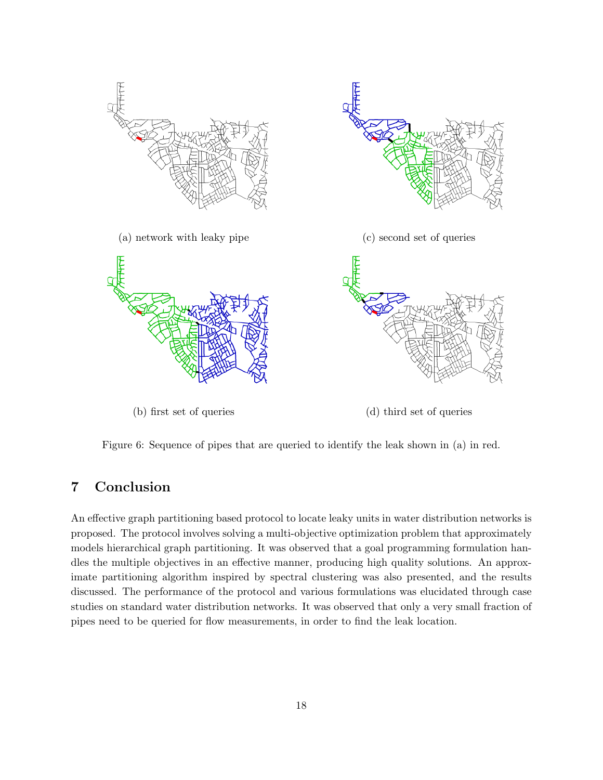

Figure 6: Sequence of pipes that are queried to identify the leak shown in (a) in red.

# 7 Conclusion

An effective graph partitioning based protocol to locate leaky units in water distribution networks is proposed. The protocol involves solving a multi-objective optimization problem that approximately models hierarchical graph partitioning. It was observed that a goal programming formulation handles the multiple objectives in an effective manner, producing high quality solutions. An approximate partitioning algorithm inspired by spectral clustering was also presented, and the results discussed. The performance of the protocol and various formulations was elucidated through case studies on standard water distribution networks. It was observed that only a very small fraction of pipes need to be queried for flow measurements, in order to find the leak location.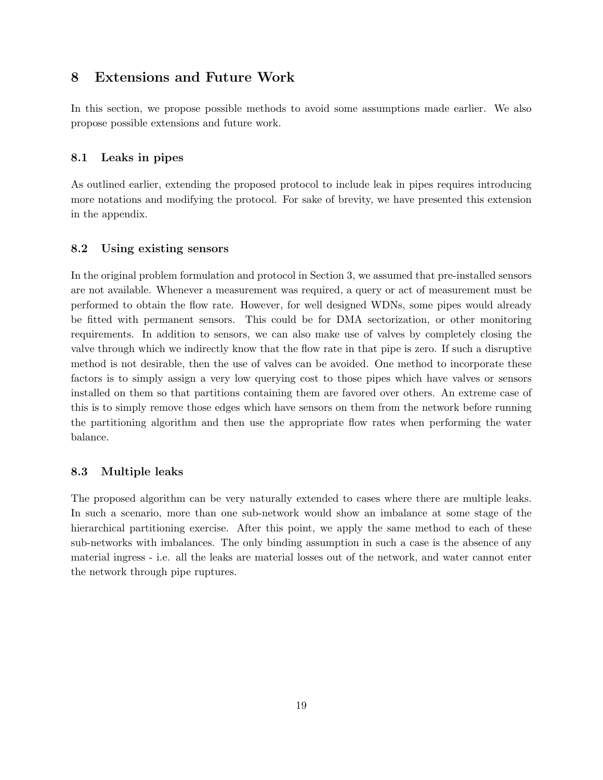# 8 Extensions and Future Work

In this section, we propose possible methods to avoid some assumptions made earlier. We also propose possible extensions and future work.

### 8.1 Leaks in pipes

As outlined earlier, extending the proposed protocol to include leak in pipes requires introducing more notations and modifying the protocol. For sake of brevity, we have presented this extension in the appendix.

### 8.2 Using existing sensors

In the original problem formulation and protocol in Section 3, we assumed that pre-installed sensors are not available. Whenever a measurement was required, a query or act of measurement must be performed to obtain the flow rate. However, for well designed WDNs, some pipes would already be fitted with permanent sensors. This could be for DMA sectorization, or other monitoring requirements. In addition to sensors, we can also make use of valves by completely closing the valve through which we indirectly know that the flow rate in that pipe is zero. If such a disruptive method is not desirable, then the use of valves can be avoided. One method to incorporate these factors is to simply assign a very low querying cost to those pipes which have valves or sensors installed on them so that partitions containing them are favored over others. An extreme case of this is to simply remove those edges which have sensors on them from the network before running the partitioning algorithm and then use the appropriate flow rates when performing the water balance.

### 8.3 Multiple leaks

The proposed algorithm can be very naturally extended to cases where there are multiple leaks. In such a scenario, more than one sub-network would show an imbalance at some stage of the hierarchical partitioning exercise. After this point, we apply the same method to each of these sub-networks with imbalances. The only binding assumption in such a case is the absence of any material ingress - i.e. all the leaks are material losses out of the network, and water cannot enter the network through pipe ruptures.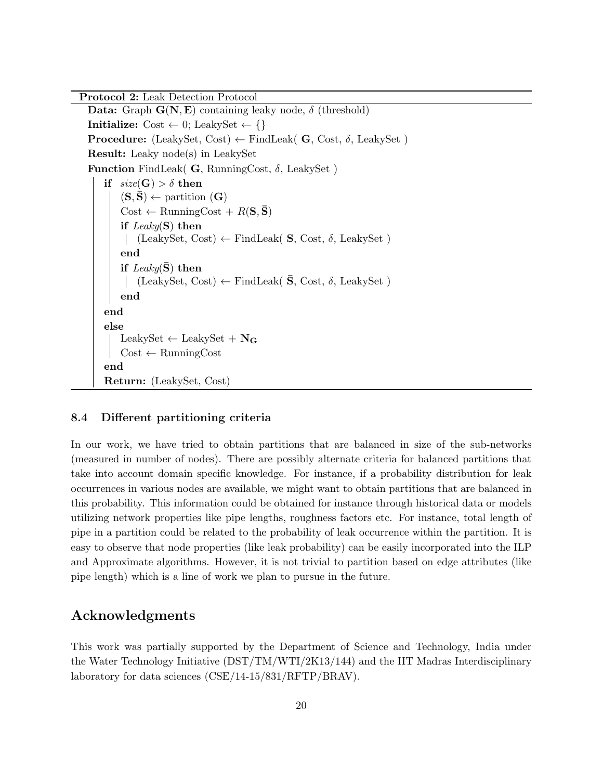Protocol 2: Leak Detection Protocol Data: Graph  $G(N, E)$  containing leaky node,  $\delta$  (threshold) Initialize:  $Cost \leftarrow 0$ ; LeakySet  $\leftarrow \{\}$ **Procedure:** (LeakySet, Cost)  $\leftarrow$  FindLeak( G, Cost,  $\delta$ , LeakySet) Result: Leaky node(s) in LeakySet **Function** FindLeak( **G**, RunningCost,  $\delta$ , LeakySet) if  $size(G) > \delta$  then  $(S, S) \leftarrow$  partition  $(G)$  $Cost \leftarrow$  RunningCost +  $R(S, \bar{S})$ if  $Leaky(S)$  then (LeakySet, Cost) ← FindLeak( S, Cost, δ, LeakySet ) end if  $\text{Leaky}(S)$  then  $\vert$  (LeakySet, Cost) ← FindLeak( **S**, Cost, δ, LeakySet) end end else LeakySet  $\leftarrow$  LeakySet +  $N_G$  $Cost \leftarrow \text{RunningCost}$ end Return: (LeakySet, Cost)

### 8.4 Different partitioning criteria

In our work, we have tried to obtain partitions that are balanced in size of the sub-networks (measured in number of nodes). There are possibly alternate criteria for balanced partitions that take into account domain specific knowledge. For instance, if a probability distribution for leak occurrences in various nodes are available, we might want to obtain partitions that are balanced in this probability. This information could be obtained for instance through historical data or models utilizing network properties like pipe lengths, roughness factors etc. For instance, total length of pipe in a partition could be related to the probability of leak occurrence within the partition. It is easy to observe that node properties (like leak probability) can be easily incorporated into the ILP and Approximate algorithms. However, it is not trivial to partition based on edge attributes (like pipe length) which is a line of work we plan to pursue in the future.

### Acknowledgments

This work was partially supported by the Department of Science and Technology, India under the Water Technology Initiative (DST/TM/WTI/2K13/144) and the IIT Madras Interdisciplinary laboratory for data sciences (CSE/14-15/831/RFTP/BRAV).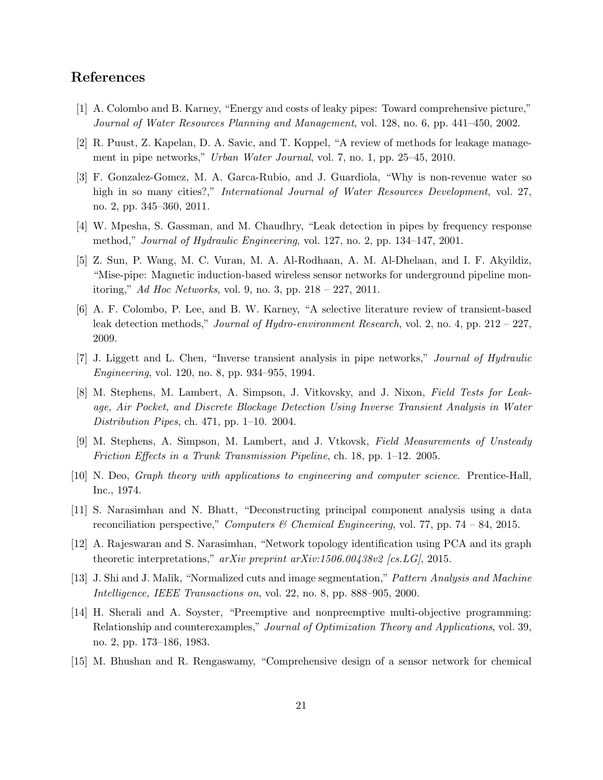# References

- [1] A. Colombo and B. Karney, "Energy and costs of leaky pipes: Toward comprehensive picture," Journal of Water Resources Planning and Management, vol. 128, no. 6, pp. 441–450, 2002.
- [2] R. Puust, Z. Kapelan, D. A. Savic, and T. Koppel, "A review of methods for leakage management in pipe networks," Urban Water Journal, vol. 7, no. 1, pp. 25–45, 2010.
- [3] F. Gonzalez-Gomez, M. A. Garca-Rubio, and J. Guardiola, "Why is non-revenue water so high in so many cities?," *International Journal of Water Resources Development*, vol. 27, no. 2, pp. 345–360, 2011.
- [4] W. Mpesha, S. Gassman, and M. Chaudhry, "Leak detection in pipes by frequency response method," Journal of Hydraulic Engineering, vol. 127, no. 2, pp. 134–147, 2001.
- [5] Z. Sun, P. Wang, M. C. Vuran, M. A. Al-Rodhaan, A. M. Al-Dhelaan, and I. F. Akyildiz, "Mise-pipe: Magnetic induction-based wireless sensor networks for underground pipeline monitoring," Ad Hoc Networks, vol. 9, no. 3, pp. 218 – 227, 2011.
- [6] A. F. Colombo, P. Lee, and B. W. Karney, "A selective literature review of transient-based leak detection methods," *Journal of Hydro-environment Research*, vol. 2, no. 4, pp. 212 – 227, 2009.
- [7] J. Liggett and L. Chen, "Inverse transient analysis in pipe networks," Journal of Hydraulic Engineering, vol. 120, no. 8, pp. 934–955, 1994.
- [8] M. Stephens, M. Lambert, A. Simpson, J. Vitkovsky, and J. Nixon, Field Tests for Leakage, Air Pocket, and Discrete Blockage Detection Using Inverse Transient Analysis in Water Distribution Pipes, ch. 471, pp. 1–10. 2004.
- [9] M. Stephens, A. Simpson, M. Lambert, and J. Vtkovsk, Field Measurements of Unsteady Friction Effects in a Trunk Transmission Pipeline, ch. 18, pp. 1–12. 2005.
- [10] N. Deo, Graph theory with applications to engineering and computer science. Prentice-Hall, Inc., 1974.
- [11] S. Narasimhan and N. Bhatt, "Deconstructing principal component analysis using a data reconciliation perspective," Computers & Chemical Engineering, vol. 77, pp. 74 – 84, 2015.
- [12] A. Rajeswaran and S. Narasimhan, "Network topology identification using PCA and its graph theoretic interpretations," arXiv preprint  $arXiv:1506.00438v2$  [cs. LG], 2015.
- [13] J. Shi and J. Malik, "Normalized cuts and image segmentation," Pattern Analysis and Machine Intelligence, IEEE Transactions on, vol. 22, no. 8, pp. 888–905, 2000.
- [14] H. Sherali and A. Soyster, "Preemptive and nonpreemptive multi-objective programming: Relationship and counterexamples," Journal of Optimization Theory and Applications, vol. 39, no. 2, pp. 173–186, 1983.
- [15] M. Bhushan and R. Rengaswamy, "Comprehensive design of a sensor network for chemical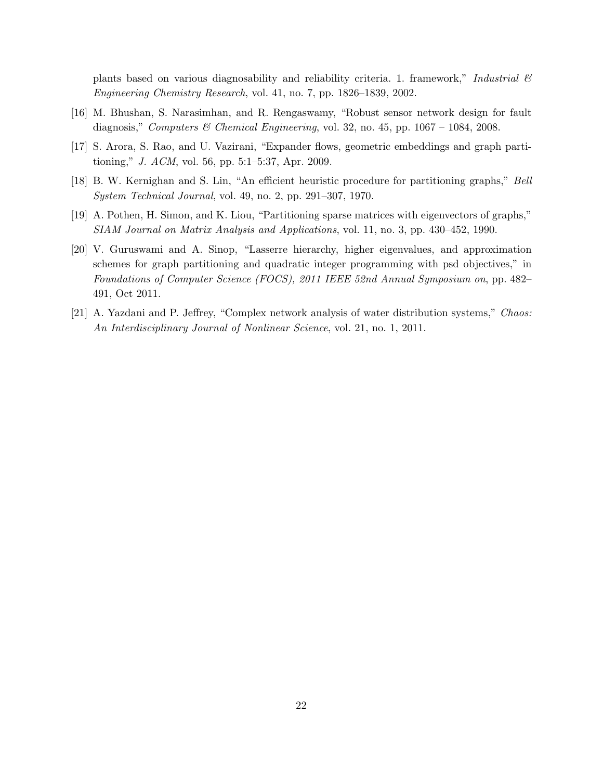plants based on various diagnosability and reliability criteria. 1. framework," Industrial  $\mathcal{B}$ Engineering Chemistry Research, vol. 41, no. 7, pp. 1826–1839, 2002.

- [16] M. Bhushan, S. Narasimhan, and R. Rengaswamy, "Robust sensor network design for fault diagnosis," Computers & Chemical Engineering, vol. 32, no. 45, pp.  $1067 - 1084$ , 2008.
- [17] S. Arora, S. Rao, and U. Vazirani, "Expander flows, geometric embeddings and graph partitioning," J. ACM, vol. 56, pp. 5:1–5:37, Apr. 2009.
- [18] B. W. Kernighan and S. Lin, "An efficient heuristic procedure for partitioning graphs," Bell System Technical Journal, vol. 49, no. 2, pp. 291–307, 1970.
- [19] A. Pothen, H. Simon, and K. Liou, "Partitioning sparse matrices with eigenvectors of graphs," SIAM Journal on Matrix Analysis and Applications, vol. 11, no. 3, pp. 430–452, 1990.
- [20] V. Guruswami and A. Sinop, "Lasserre hierarchy, higher eigenvalues, and approximation schemes for graph partitioning and quadratic integer programming with psd objectives," in Foundations of Computer Science (FOCS), 2011 IEEE 52nd Annual Symposium on, pp. 482– 491, Oct 2011.
- [21] A. Yazdani and P. Jeffrey, "Complex network analysis of water distribution systems," Chaos: An Interdisciplinary Journal of Nonlinear Science, vol. 21, no. 1, 2011.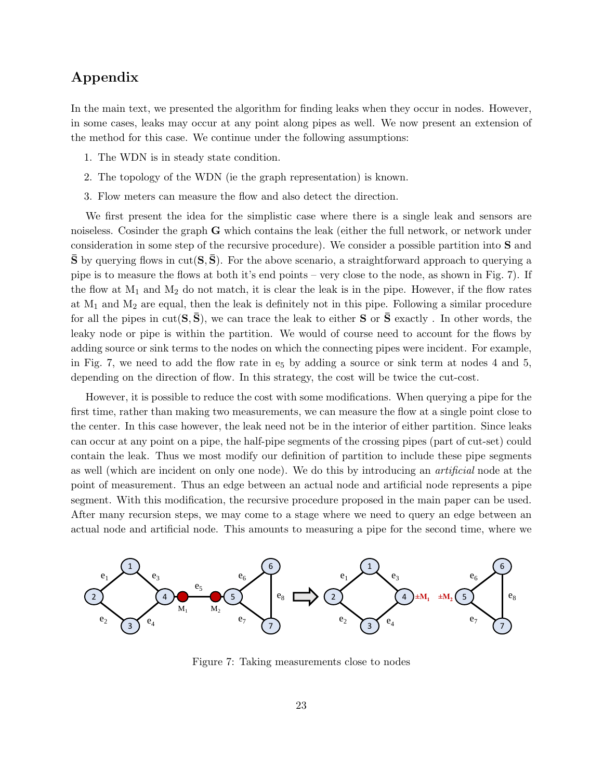# Appendix

In the main text, we presented the algorithm for finding leaks when they occur in nodes. However, in some cases, leaks may occur at any point along pipes as well. We now present an extension of the method for this case. We continue under the following assumptions:

- 1. The WDN is in steady state condition.
- 2. The topology of the WDN (ie the graph representation) is known.
- 3. Flow meters can measure the flow and also detect the direction.

We first present the idea for the simplistic case where there is a single leak and sensors are noiseless. Cosinder the graph G which contains the leak (either the full network, or network under consideration in some step of the recursive procedure). We consider a possible partition into S and  $\bar{S}$  by querying flows in cut( $S, \bar{S}$ ). For the above scenario, a straightforward approach to querying a pipe is to measure the flows at both it's end points – very close to the node, as shown in Fig. 7). If the flow at  $M_1$  and  $M_2$  do not match, it is clear the leak is in the pipe. However, if the flow rates at  $M_1$  and  $M_2$  are equal, then the leak is definitely not in this pipe. Following a similar procedure for all the pipes in  $cut(S, \bar{S})$ , we can trace the leak to either S or  $\bar{S}$  exactly . In other words, the leaky node or pipe is within the partition. We would of course need to account for the flows by adding source or sink terms to the nodes on which the connecting pipes were incident. For example, in Fig. 7, we need to add the flow rate in  $e_5$  by adding a source or sink term at nodes 4 and 5, depending on the direction of flow. In this strategy, the cost will be twice the cut-cost.

However, it is possible to reduce the cost with some modifications. When querying a pipe for the first time, rather than making two measurements, we can measure the flow at a single point close to the center. In this case however, the leak need not be in the interior of either partition. Since leaks can occur at any point on a pipe, the half-pipe segments of the crossing pipes (part of cut-set) could contain the leak. Thus we most modify our definition of partition to include these pipe segments as well (which are incident on only one node). We do this by introducing an artificial node at the point of measurement. Thus an edge between an actual node and artificial node represents a pipe segment. With this modification, the recursive procedure proposed in the main paper can be used. After many recursion steps, we may come to a stage where we need to query an edge between an actual node and artificial node. This amounts to measuring a pipe for the second time, where we



Figure 7: Taking measurements close to nodes